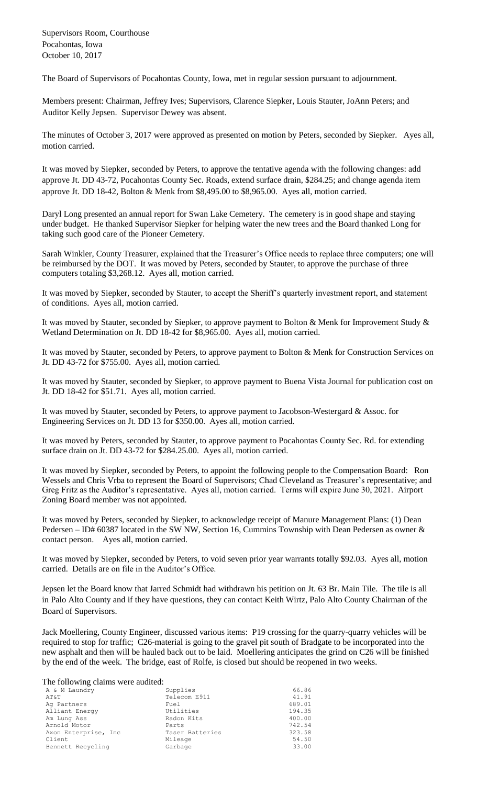Supervisors Room, Courthouse Pocahontas, Iowa October 10, 2017

The Board of Supervisors of Pocahontas County, Iowa, met in regular session pursuant to adjournment.

Members present: Chairman, Jeffrey Ives; Supervisors, Clarence Siepker, Louis Stauter, JoAnn Peters; and Auditor Kelly Jepsen. Supervisor Dewey was absent.

The minutes of October 3, 2017 were approved as presented on motion by Peters, seconded by Siepker. Ayes all, motion carried.

It was moved by Siepker, seconded by Peters, to approve the tentative agenda with the following changes: add approve Jt. DD 43-72, Pocahontas County Sec. Roads, extend surface drain, \$284.25; and change agenda item approve Jt. DD 18-42, Bolton & Menk from \$8,495.00 to \$8,965.00. Ayes all, motion carried.

Daryl Long presented an annual report for Swan Lake Cemetery. The cemetery is in good shape and staying under budget. He thanked Supervisor Siepker for helping water the new trees and the Board thanked Long for taking such good care of the Pioneer Cemetery.

Sarah Winkler, County Treasurer, explained that the Treasurer's Office needs to replace three computers; one will be reimbursed by the DOT. It was moved by Peters, seconded by Stauter, to approve the purchase of three computers totaling \$3,268.12. Ayes all, motion carried.

It was moved by Siepker, seconded by Stauter, to accept the Sheriff's quarterly investment report, and statement of conditions. Ayes all, motion carried.

It was moved by Stauter, seconded by Siepker, to approve payment to Bolton & Menk for Improvement Study & Wetland Determination on Jt. DD 18-42 for \$8,965.00. Ayes all, motion carried.

It was moved by Stauter, seconded by Peters, to approve payment to Bolton & Menk for Construction Services on Jt. DD 43-72 for \$755.00. Ayes all, motion carried.

It was moved by Stauter, seconded by Siepker, to approve payment to Buena Vista Journal for publication cost on Jt. DD 18-42 for \$51.71. Ayes all, motion carried.

It was moved by Stauter, seconded by Peters, to approve payment to Jacobson-Westergard & Assoc. for Engineering Services on Jt. DD 13 for \$350.00. Ayes all, motion carried.

It was moved by Peters, seconded by Stauter, to approve payment to Pocahontas County Sec. Rd. for extending surface drain on Jt. DD 43-72 for \$284.25.00. Ayes all, motion carried.

It was moved by Siepker, seconded by Peters, to appoint the following people to the Compensation Board: Ron Wessels and Chris Vrba to represent the Board of Supervisors; Chad Cleveland as Treasurer's representative; and Greg Fritz as the Auditor's representative. Ayes all, motion carried. Terms will expire June 30, 2021. Airport Zoning Board member was not appointed.

It was moved by Peters, seconded by Siepker, to acknowledge receipt of Manure Management Plans: (1) Dean Pedersen – ID# 60387 located in the SW NW, Section 16, Cummins Township with Dean Pedersen as owner & contact person. Ayes all, motion carried.

It was moved by Siepker, seconded by Peters, to void seven prior year warrants totally \$92.03. Ayes all, motion carried. Details are on file in the Auditor's Office.

Jepsen let the Board know that Jarred Schmidt had withdrawn his petition on Jt. 63 Br. Main Tile. The tile is all in Palo Alto County and if they have questions, they can contact Keith Wirtz, Palo Alto County Chairman of the Board of Supervisors.

Jack Moellering, County Engineer, discussed various items: P19 crossing for the quarry-quarry vehicles will be required to stop for traffic; C26-material is going to the gravel pit south of Bradgate to be incorporated into the new asphalt and then will be hauled back out to be laid. Moellering anticipates the grind on C26 will be finished by the end of the week. The bridge, east of Rolfe, is closed but should be reopened in two weeks.

The following claims were audited:

| A & M Laundry         | Supplies        | 66.86  |
|-----------------------|-----------------|--------|
| AT&T                  | Telecom E911    | 41.91  |
| Ag Partners           | Fuel            | 689.01 |
| Alliant Energy        | Utilities       | 194.35 |
| Am Lung Ass           | Radon Kits      | 400.00 |
| Arnold Motor          | Parts           | 742.54 |
| Axon Enterprise, Inc. | Taser Batteries | 323.58 |
| Client                | Mileage         | 54.50  |
| Bennett Recycling     | Garbage         | 33.00  |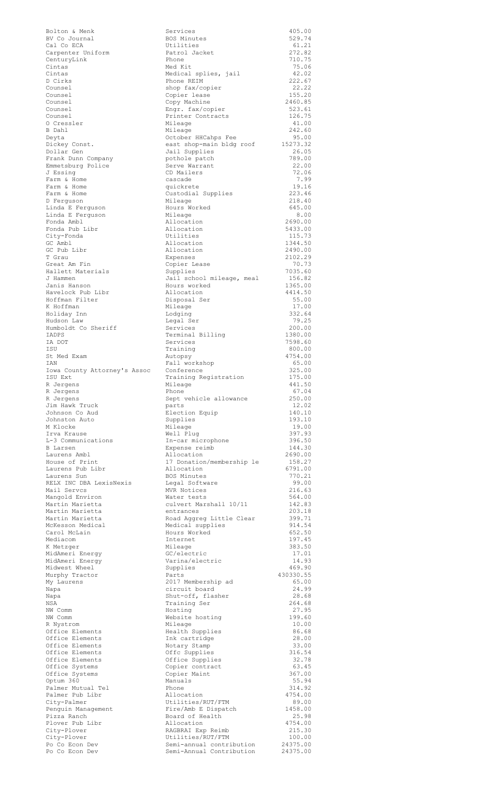| Cal Co ECA         |                                                            |  |
|--------------------|------------------------------------------------------------|--|
|                    | BV Co Journal                                              |  |
|                    | Carpenter Uniform                                          |  |
|                    | CenturyLink                                                |  |
| Cintas             |                                                            |  |
| Cintas             |                                                            |  |
| D Cirks            |                                                            |  |
| Counsel            |                                                            |  |
| Counsel            |                                                            |  |
| Counsel<br>Counsel |                                                            |  |
| Counsel            |                                                            |  |
|                    | 0 Cressler                                                 |  |
| B Dahl             |                                                            |  |
| Deyta              |                                                            |  |
|                    | Dickey Const.                                              |  |
|                    | Dollar Gen                                                 |  |
|                    | Frank Dunn Company                                         |  |
|                    | Emmetsburg Police                                          |  |
| J Essing           |                                                            |  |
|                    | Farm & Home<br>Farm & Home                                 |  |
|                    | Farm & Home                                                |  |
|                    | D Ferguson                                                 |  |
|                    | Linda E Ferguson                                           |  |
|                    | Linda E Ferguson                                           |  |
|                    | Fonda Ambl                                                 |  |
|                    | Fonda Pub Libr                                             |  |
|                    | City-Fonda                                                 |  |
| GC Ambl            |                                                            |  |
| T Grau             | GC Pub Libr                                                |  |
|                    | Great Am Fin                                               |  |
|                    | Hallett Materials                                          |  |
| J Hammen           |                                                            |  |
|                    | Janis Hanson                                               |  |
|                    | Havelock Pub Libr                                          |  |
|                    | Hoffman Filter                                             |  |
| K Hoffman          |                                                            |  |
|                    | Holiday Inn                                                |  |
|                    | Hudson Law                                                 |  |
|                    | Humboldt Co Sheriff                                        |  |
| IADPS              |                                                            |  |
| IA DOT             |                                                            |  |
| ISU                | St Med Exam                                                |  |
| <b>IAN</b>         |                                                            |  |
|                    | Iowa County Attorney's As:                                 |  |
| ISU Ext            |                                                            |  |
| R Jergens          |                                                            |  |
| R Jergens          |                                                            |  |
| R Jergens          |                                                            |  |
|                    | Jim Hawk Truck                                             |  |
|                    | Johnson Co Aud                                             |  |
| M Klocke           | Johnston Auto                                              |  |
|                    | Irva Krause                                                |  |
|                    | L-3 Communications                                         |  |
|                    |                                                            |  |
|                    |                                                            |  |
| <b>B</b> Larsen    |                                                            |  |
|                    | Laurens Ambl                                               |  |
|                    | House of Print                                             |  |
|                    |                                                            |  |
|                    | Laurens Pub Libr<br>Laurens Sun<br>RELX INC DBA LexisNexis |  |
|                    | Mail Servcs                                                |  |
|                    | Mangold Environ                                            |  |
|                    | Martin Marietta                                            |  |
|                    | Martin Marietta                                            |  |
|                    | Martin Marietta                                            |  |
|                    | McKesson Medical                                           |  |
|                    | Carol McLain                                               |  |
| Mediacom           |                                                            |  |
| K Metzger          |                                                            |  |
|                    | MidAmeri Energy<br>MidAmeri Energy                         |  |
|                    | Midwest Wheel                                              |  |
|                    | Murphy Tractor                                             |  |
|                    | My Laurens                                                 |  |
| Napa               |                                                            |  |
| Napa               |                                                            |  |
| NSA                |                                                            |  |
| NW Comm            |                                                            |  |
| NW Comm            |                                                            |  |
| R Nystrom          |                                                            |  |
|                    | Office Elements                                            |  |
|                    | Office Elements<br>Office Elements                         |  |
|                    | Office Elements                                            |  |
|                    | Office Elements                                            |  |
|                    | Office Systems                                             |  |
|                    | Office Systems                                             |  |
| Optum 360          |                                                            |  |
|                    | Palmer Mutual Tel                                          |  |
|                    | Palmer Pub Libr                                            |  |
|                    | City-Palmer                                                |  |
|                    | Penguin Management                                         |  |
|                    | Pizza Ranch<br>Plover Pub Libr                             |  |
|                    |                                                            |  |
|                    | City-Plover<br>City-Plover                                 |  |
| Po<br>Co           | Po Co Econ<br>Dev<br>Econ<br>Dev                           |  |

| Bolton & Menk<br>BV Co Journal          | Services<br>BOS Minutes                         | 405.00<br>529.74   |
|-----------------------------------------|-------------------------------------------------|--------------------|
| Cal Co ECA                              | Utilities                                       | 61.21              |
| Carpenter Uniform<br>CenturyLink        | Patrol Jacket<br>Phone                          | 272.82<br>710.75   |
| Cintas                                  | Med Kit                                         | 75.06              |
| Cintas<br>D Cirks                       | Medical splies, jail<br>Phone REIM              | 42.02<br>222.67    |
| Counsel                                 | shop fax/copier                                 | 22.22              |
| Counsel<br>Counsel                      | Copier lease<br>Copy Machine                    | 155.20<br>2460.85  |
| Counsel                                 | Engr. fax/copier                                | 523.61             |
| Counsel<br>0 Cressler                   | Printer Contracts<br>Mileage                    | 126.75<br>41.00    |
| B Dahl                                  | Mileage                                         | 242.60             |
| Deyta<br>Dickey Const.                  | October HHCahps Fee<br>east shop-main bldg roof | 95.00<br>15273.32  |
| Dollar Gen                              | Jail Supplies                                   | 26.05              |
| Frank Dunn Company<br>Emmetsburg Police | pothole patch<br>Serve Warrant                  | 789.00<br>22.00    |
| J Essing                                | CD Mailers                                      | 72.06              |
| Farm & Home<br>Farm & Home              | cascade<br>quickrete                            | 7.99<br>19.16      |
| Farm & Home                             | Custodial Supplies                              | 223.46             |
| D Ferguson                              | Mileage                                         | 218.40             |
| Linda E Ferquson<br>Linda E Ferquson    | Hours Worked<br>Mileage                         | 645.00<br>8.00     |
| Fonda Ambl                              | Allocation                                      | 2690.00            |
| Fonda Pub Libr<br>City-Fonda            | Allocation<br>Utilities                         | 5433.00<br>115.73  |
| GC Ambl                                 | Allocation                                      | 1344.50            |
| GC Pub Libr<br>T Grau                   | Allocation<br>Expenses                          | 2490.00<br>2102.29 |
| Great Am Fin                            | Copier Lease                                    | 70.73              |
| Hallett Materials<br>J Hammen           | Supplies<br>Jail school mileage, meal           | 7035.60<br>156.82  |
| Janis Hanson                            | Hours worked                                    | 1365.00            |
| Havelock Pub Libr<br>Hoffman Filter     | Allocation<br>Disposal Ser                      | 4414.50<br>55.00   |
| K Hoffman                               | Mileage                                         | 17.00              |
| Holiday Inn<br>Hudson Law               | Lodging                                         | 332.64<br>79.25    |
| Humboldt Co Sheriff                     | Legal Ser<br>Services                           | 200.00             |
| IADPS                                   | Terminal Billing                                | 1380.00            |
| IA DOT<br>ISU                           | Services<br>Training                            | 7598.60<br>800.00  |
| St Med Exam                             | Autopsy                                         | 4754.00            |
| IAN<br>Iowa County Attorney's Assoc     | Fall workshop<br>Conference                     | 65.00<br>325.00    |
| ISU Ext                                 | Training Registration                           | 175.00             |
| R Jergens<br>R Jergens                  | Mileage<br>Phone                                | 441.50<br>67.04    |
| R Jergens                               | Sept vehicle allowance                          | 250.00             |
| Jim Hawk Truck<br>Johnson Co Aud        | parts<br>Election Equip                         | 12.02<br>140.10    |
| Johnston Auto                           | Supplies                                        | 193.10             |
| M Klocke<br>Irva Krause                 | Mileage<br>Well Plug                            | 19.00<br>397.93    |
| L-3 Communications                      | In-car microphone                               | 396.50             |
| B Larsen<br>Laurens Ambl                | Expense reimb<br>Allocation                     | 144.30<br>2690.00  |
| House of Print                          | 17 Donation/membership le                       | 158.27             |
| Laurens Pub Libr<br>Laurens Sun         | Allocation<br>BOS Minutes                       | 6791.00<br>770.21  |
| RELX INC DBA LexisNexis                 | Legal Software                                  | 99.00              |
| Mail Servcs<br>Mangold Environ          | MVR Notices<br>Water tests                      | 216.63<br>564.00   |
| Martin Marietta                         | culvert Marshall 10/11                          | 142.83             |
| Martin Marietta<br>Martin Marietta      | entrances<br>Road Aggreg Little Clear           | 203.18<br>399.71   |
| McKesson Medical                        | Medical supplies                                | 914.54             |
| Carol McLain<br>Mediacom                | Hours Worked<br>Internet                        | 652.50<br>197.45   |
| K Metzger                               | Mileage                                         | 383.50             |
| MidAmeri Energy                         | GC/electric                                     | 17.01              |
| MidAmeri Energy<br>Midwest Wheel        | Varina/electric<br>Supplies                     | 14.93<br>469.90    |
| Murphy Tractor                          | Parts                                           | 430330.55          |
| My Laurens<br>Napa                      | 2017 Membership ad<br>circuit board             | 65.00<br>24.99     |
| Napa                                    | Shut-off, flasher                               | 28.68              |
| NSA<br>NW Comm                          | Training Ser<br>Hosting                         | 264.68<br>27.95    |
| NW Comm                                 | Website hosting                                 | 199.60             |
| R Nystrom<br>Office Elements            | Mileage<br>Health Supplies                      | 10.00<br>86.68     |
| Office Elements                         | Ink cartridge                                   | 28.00              |
| Office Elements<br>Office Elements      | Notary Stamp<br>Offc Supplies                   | 33.00<br>316.54    |
| Office Elements                         | Office Supplies                                 | 32.78              |
| Office Systems<br>Office Systems        | Copier contract<br>Copier Maint                 | 63.45<br>367.00    |
| Optum 360                               | Manuals                                         | 55.94              |
| Palmer Mutual Tel<br>Palmer Pub Libr    | Phone<br>Allocation                             | 314.92<br>4754.00  |
| City-Palmer                             | Utilities/RUT/FTM                               | 89.00              |
| Penguin Management<br>Pizza Ranch       | Fire/Amb E Dispatch<br>Board of Health          | 1458.00<br>25.98   |
| Plover Pub Libr                         | Allocation                                      | 4754.00            |
| City-Plover                             | RAGBRAI Exp Reimb                               | 215.30             |
| City-Plover<br>Po Co Econ Dev           | Utilities/RUT/FTM<br>Semi-annual contribution   | 100.00<br>24375.00 |
| Po Co Econ Dev                          | Semi-Annual Contribution                        | 24375.00           |